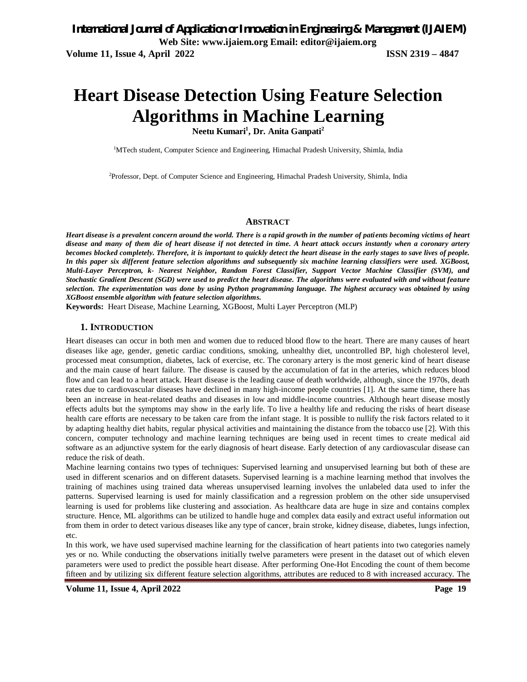# **Heart Disease Detection Using Feature Selection Algorithms in Machine Learning**

**Neetu Kumari<sup>1</sup> , Dr. Anita Ganpati<sup>2</sup>**

<sup>1</sup>MTech student, Computer Science and Engineering, Himachal Pradesh University, Shimla, India

2Professor, Dept. of Computer Science and Engineering, Himachal Pradesh University, Shimla, India

#### **ABSTRACT**

*Heart disease is a prevalent concern around the world. There is a rapid growth in the number of patients becoming victims of heart disease and many of them die of heart disease if not detected in time. A heart attack occurs instantly when a coronary artery becomes blocked completely. Therefore, it is important to quickly detect the heart disease in the early stages to save lives of people. In this paper six different feature selection algorithms and subsequently six machine learning classifiers were used. XGBoost, Multi-Layer Perceptron, k- Nearest Neighbor, Random Forest Classifier, Support Vector Machine Classifier (SVM), and Stochastic Gradient Descent (SGD) were used to predict the heart disease. The algorithms were evaluated with and without feature selection. The experimentation was done by using Python programming language. The highest accuracy was obtained by using XGBoost ensemble algorithm with feature selection algorithms.*

**Keywords:** Heart Disease, Machine Learning, XGBoost, Multi Layer Perceptron (MLP)

#### **1. INTRODUCTION**

Heart diseases can occur in both men and women due to reduced blood flow to the heart. There are many causes of heart diseases like age, gender, genetic cardiac conditions, smoking, unhealthy diet, uncontrolled BP, high cholesterol level, processed meat consumption, diabetes, lack of exercise, etc. The coronary artery is the most generic kind of heart disease and the main cause of heart failure. The disease is caused by the accumulation of fat in the arteries, which reduces blood flow and can lead to a heart attack. Heart disease is the leading cause of death worldwide, although, since the 1970s, death rates due to cardiovascular diseases have declined in many high-income people countries [1]. At the same time, there has been an increase in heat-related deaths and diseases in low and middle-income countries. Although heart disease mostly effects adults but the symptoms may show in the early life. To live a healthy life and reducing the risks of heart disease health care efforts are necessary to be taken care from the infant stage. It is possible to nullify the risk factors related to it by adapting healthy diet habits, regular physical activities and maintaining the distance from the tobacco use [2]. With this concern, computer technology and machine learning techniques are being used in recent times to create medical aid software as an adjunctive system for the early diagnosis of heart disease. Early detection of any cardiovascular disease can reduce the risk of death.

Machine learning contains two types of techniques: Supervised learning and unsupervised learning but both of these are used in different scenarios and on different datasets. Supervised learning is a machine learning method that involves the training of machines using trained data whereas unsupervised learning involves the unlabeled data used to infer the patterns. Supervised learning is used for mainly classification and a regression problem on the other side unsupervised learning is used for problems like clustering and association. As healthcare data are huge in size and contains complex structure. Hence, ML algorithms can be utilized to handle huge and complex data easily and extract useful information out from them in order to detect various diseases like any type of cancer, brain stroke, kidney disease, diabetes, lungs infection, etc.

In this work, we have used supervised machine learning for the classification of heart patients into two categories namely yes or no. While conducting the observations initially twelve parameters were present in the dataset out of which eleven parameters were used to predict the possible heart disease. After performing One-Hot Encoding the count of them become fifteen and by utilizing six different feature selection algorithms, attributes are reduced to 8 with increased accuracy. The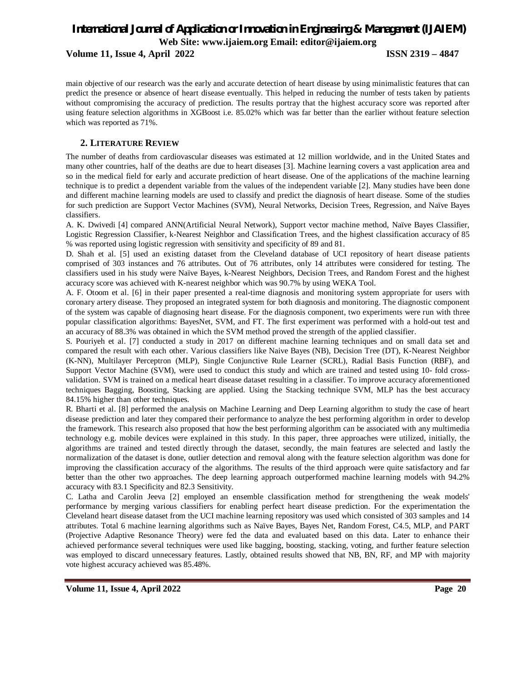**Volume 11, Issue 4, April 2022 ISSN 2319 – 4847**

main objective of our research was the early and accurate detection of heart disease by using minimalistic features that can predict the presence or absence of heart disease eventually. This helped in reducing the number of tests taken by patients without compromising the accuracy of prediction. The results portray that the highest accuracy score was reported after using feature selection algorithms in XGBoost i.e. 85.02% which was far better than the earlier without feature selection which was reported as 71%.

### **2. LITERATURE REVIEW**

The number of deaths from cardiovascular diseases was estimated at 12 million worldwide, and in the United States and many other countries, half of the deaths are due to heart diseases [3]. Machine learning covers a vast application area and so in the medical field for early and accurate prediction of heart disease. One of the applications of the machine learning technique is to predict a dependent variable from the values of the independent variable [2]. Many studies have been done and different machine learning models are used to classify and predict the diagnosis of heart disease. Some of the studies for such prediction are Support Vector Machines (SVM), Neural Networks, Decision Trees, Regression, and Naïve Bayes classifiers.

A. K. Dwivedi [4] compared ANN(Artificial Neural Network), Support vector machine method, Naïve Bayes Classifier, Logistic Regression Classifier, k-Nearest Neighbor and Classification Trees, and the highest classification accuracy of 85 % was reported using logistic regression with sensitivity and specificity of 89 and 81.

D. Shah et al. [5] used an existing dataset from the Cleveland database of UCI repository of heart disease patients comprised of 303 instances and 76 attributes. Out of 76 attributes, only 14 attributes were considered for testing. The classifiers used in his study were Naïve Bayes, k-Nearest Neighbors, Decision Trees, and Random Forest and the highest accuracy score was achieved with K-nearest neighbor which was 90.7% by using WEKA Tool.

A. F. Otoom et al. [6] in their paper presented a real-time diagnosis and monitoring system appropriate for users with coronary artery disease. They proposed an integrated system for both diagnosis and monitoring. The diagnostic component of the system was capable of diagnosing heart disease. For the diagnosis component, two experiments were run with three popular classification algorithms: BayesNet, SVM, and FT. The first experiment was performed with a hold-out test and an accuracy of 88.3% was obtained in which the SVM method proved the strength of the applied classifier.

S. Pouriyeh et al. [7] conducted a study in 2017 on different machine learning techniques and on small data set and compared the result with each other. Various classifiers like Naive Bayes (NB), Decision Tree (DT), K-Nearest Neighbor (K-NN), Multilayer Perceptron (MLP), Single Conjunctive Rule Learner (SCRL), Radial Basis Function (RBF), and Support Vector Machine (SVM), were used to conduct this study and which are trained and tested using 10- fold crossvalidation. SVM is trained on a medical heart disease dataset resulting in a classifier. To improve accuracy aforementioned techniques Bagging, Boosting, Stacking are applied. Using the Stacking technique SVM, MLP has the best accuracy 84.15% higher than other techniques.

R. Bharti et al. [8] performed the analysis on Machine Learning and Deep Learning algorithm to study the case of heart disease prediction and later they compared their performance to analyze the best performing algorithm in order to develop the framework. This research also proposed that how the best performing algorithm can be associated with any multimedia technology e.g. mobile devices were explained in this study. In this paper, three approaches were utilized, initially, the algorithms are trained and tested directly through the dataset, secondly, the main features are selected and lastly the normalization of the dataset is done, outlier detection and removal along with the feature selection algorithm was done for improving the classification accuracy of the algorithms. The results of the third approach were quite satisfactory and far better than the other two approaches. The deep learning approach outperformed machine learning models with 94.2% accuracy with 83.1 Specificity and 82.3 Sensitivity.

C. Latha and Carolin Jeeva [2] employed an ensemble classification method for strengthening the weak models' performance by merging various classifiers for enabling perfect heart disease prediction. For the experimentation the Cleveland heart disease dataset from the UCI machine learning repository was used which consisted of 303 samples and 14 attributes. Total 6 machine learning algorithms such as Naïve Bayes, Bayes Net, Random Forest, C4.5, MLP, and PART (Projective Adaptive Resonance Theory) were fed the data and evaluated based on this data. Later to enhance their achieved performance several techniques were used like bagging, boosting, stacking, voting, and further feature selection was employed to discard unnecessary features. Lastly, obtained results showed that NB, BN, RF, and MP with majority vote highest accuracy achieved was 85.48%.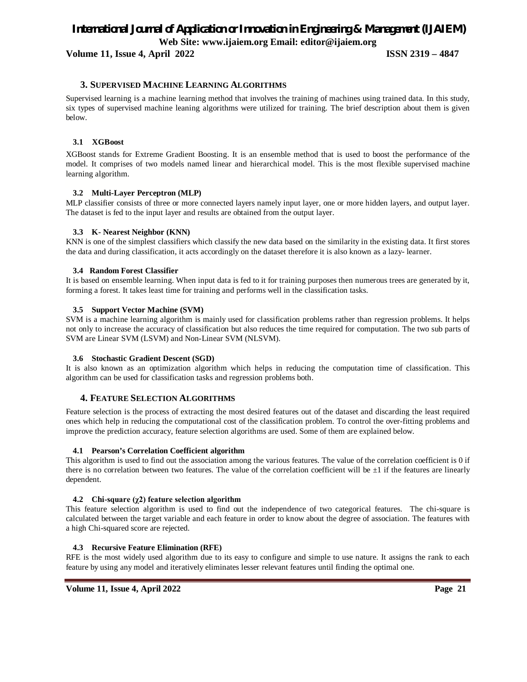**Volume 11, Issue 4, April 2022 ISSN 2319 – 4847**

#### **3. SUPERVISED MACHINE LEARNING ALGORITHMS**

Supervised learning is a machine learning method that involves the training of machines using trained data. In this study, six types of supervised machine leaning algorithms were utilized for training. The brief description about them is given below.

#### **3.1 XGBoost**

XGBoost stands for Extreme Gradient Boosting. It is an ensemble method that is used to boost the performance of the model. It comprises of two models named linear and hierarchical model. This is the most flexible supervised machine learning algorithm.

#### **3.2 Multi-Layer Perceptron (MLP)**

MLP classifier consists of three or more connected layers namely input layer, one or more hidden layers, and output layer. The dataset is fed to the input layer and results are obtained from the output layer.

#### **3.3 K- Nearest Neighbor (KNN)**

KNN is one of the simplest classifiers which classify the new data based on the similarity in the existing data. It first stores the data and during classification, it acts accordingly on the dataset therefore it is also known as a lazy- learner.

#### **3.4 Random Forest Classifier**

It is based on ensemble learning. When input data is fed to it for training purposes then numerous trees are generated by it, forming a forest. It takes least time for training and performs well in the classification tasks.

#### **3.5 Support Vector Machine (SVM)**

SVM is a machine learning algorithm is mainly used for classification problems rather than regression problems. It helps not only to increase the accuracy of classification but also reduces the time required for computation. The two sub parts of SVM are Linear SVM (LSVM) and Non-Linear SVM (NLSVM).

#### **3.6 Stochastic Gradient Descent (SGD)**

It is also known as an optimization algorithm which helps in reducing the computation time of classification. This algorithm can be used for classification tasks and regression problems both.

#### **4. FEATURE SELECTION ALGORITHMS**

Feature selection is the process of extracting the most desired features out of the dataset and discarding the least required ones which help in reducing the computational cost of the classification problem. To control the over-fitting problems and improve the prediction accuracy, feature selection algorithms are used. Some of them are explained below.

#### **4.1 Pearson's Correlation Coefficient algorithm**

This algorithm is used to find out the association among the various features. The value of the correlation coefficient is 0 if there is no correlation between two features. The value of the correlation coefficient will be  $\pm 1$  if the features are linearly dependent.

#### **4.2 Chi-square (χ2) feature selection algorithm**

This feature selection algorithm is used to find out the independence of two categorical features. The chi-square is calculated between the target variable and each feature in order to know about the degree of association. The features with a high Chi-squared score are rejected.

#### **4.3 Recursive Feature Elimination (RFE)**

RFE is the most widely used algorithm due to its easy to configure and simple to use nature. It assigns the rank to each feature by using any model and iteratively eliminates lesser relevant features until finding the optimal one.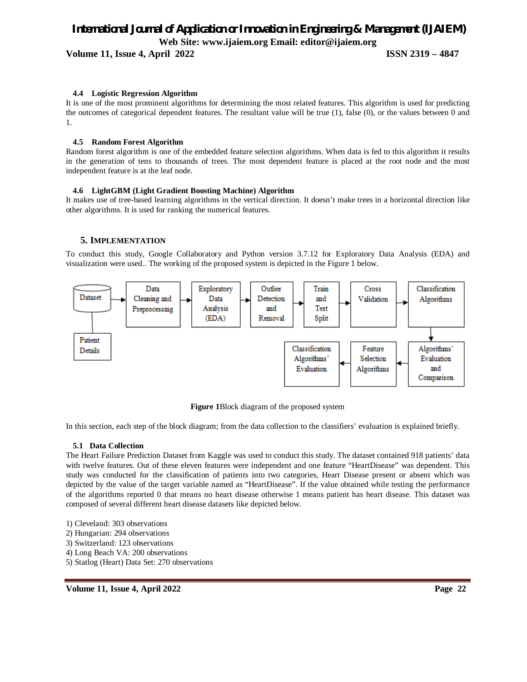**Volume 11, Issue 4, April 2022 ISSN 2319 – 4847**

#### **4.4 Logistic Regression Algorithm**

It is one of the most prominent algorithms for determining the most related features. This algorithm is used for predicting the outcomes of categorical dependent features. The resultant value will be true (1), false (0), or the values between 0 and 1.

#### **4.5 Random Forest Algorithm**

Random forest algorithm is one of the embedded feature selection algorithms. When data is fed to this algorithm it results in the generation of tens to thousands of trees. The most dependent feature is placed at the root node and the most independent feature is at the leaf node.

#### **4.6 LightGBM (Light Gradient Boosting Machine) Algorithm**

It makes use of tree-based learning algorithms in the vertical direction. It doesn't make trees in a horizontal direction like other algorithms. It is used for ranking the numerical features.

#### **5. IMPLEMENTATION**

To conduct this study, Google Collaboratory and Python version 3.7.12 for Exploratory Data Analysis (EDA) and visualization were used.. The working of the proposed system is depicted in the Figure 1 below.



**Figure 1**Block diagram of the proposed system

In this section, each step of the block diagram; from the data collection to the classifiers' evaluation is explained briefly.

#### **5.1 Data Collection**

The Heart Failure Prediction Dataset from Kaggle was used to conduct this study. The dataset contained 918 patients' data with twelve features. Out of these eleven features were independent and one feature "HeartDisease" was dependent. This study was conducted for the classification of patients into two categories, Heart Disease present or absent which was depicted by the value of the target variable named as "HeartDisease". If the value obtained while testing the performance of the algorithms reported 0 that means no heart disease otherwise 1 means patient has heart disease. This dataset was composed of several different heart disease datasets like depicted below.

- 1) Cleveland: 303 observations
- 2) Hungarian: 294 observations
- 3) Switzerland: 123 observations
- 4) Long Beach VA: 200 observations
- 5) Statlog (Heart) Data Set: 270 observations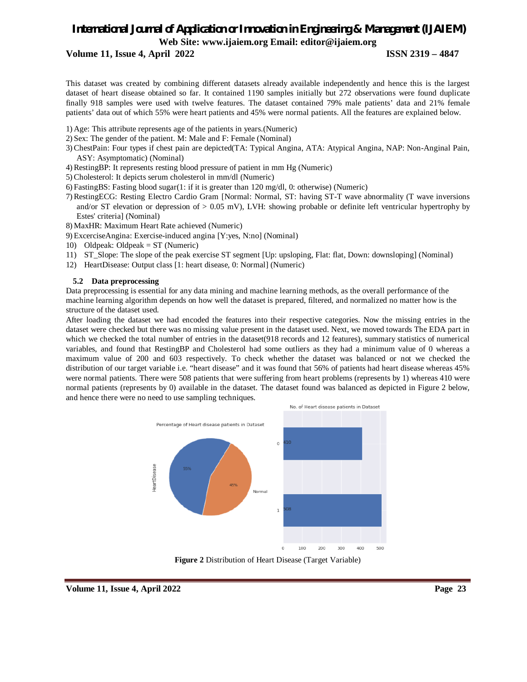**Volume 11, Issue 4, April 2022 ISSN 2319 – 4847**

This dataset was created by combining different datasets already available independently and hence this is the largest dataset of heart disease obtained so far. It contained 1190 samples initially but 272 observations were found duplicate finally 918 samples were used with twelve features. The dataset contained 79% male patients' data and 21% female patients' data out of which 55% were heart patients and 45% were normal patients. All the features are explained below.

- 1) Age: This attribute represents age of the patients in years.(Numeric)
- 2) Sex: The gender of the patient. M: Male and F: Female (Nominal)
- 3) ChestPain: Four types if chest pain are depicted(TA: Typical Angina, ATA: Atypical Angina, NAP: Non-Anginal Pain, ASY: Asymptomatic) (Nominal)
- 4) RestingBP: It represents resting blood pressure of patient in mm Hg (Numeric)
- 5) Cholesterol: It depicts serum cholesterol in mm/dl (Numeric)
- 6) FastingBS: Fasting blood sugar(1: if it is greater than 120 mg/dl, 0: otherwise) (Numeric)
- 7) RestingECG: Resting Electro Cardio Gram [Normal: Normal, ST: having ST-T wave abnormality (T wave inversions and/or ST elevation or depression of  $> 0.05$  mV), LVH: showing probable or definite left ventricular hypertrophy by Estes' criteria] (Nominal)
- 8) MaxHR: Maximum Heart Rate achieved (Numeric)
- 9) ExcerciseAngina: Exercise-induced angina [Y:yes, N:no] (Nominal)
- 10) Oldpeak: Oldpeak = ST (Numeric)
- 11) ST\_Slope: The slope of the peak exercise ST segment [Up: upsloping, Flat: flat, Down: downsloping] (Nominal)
- 12) HeartDisease: Output class [1: heart disease, 0: Normal] (Numeric)

#### **5.2 Data preprocessing**

Data preprocessing is essential for any data mining and machine learning methods, as the overall performance of the machine learning algorithm depends on how well the dataset is prepared, filtered, and normalized no matter how is the structure of the dataset used.

After loading the dataset we had encoded the features into their respective categories. Now the missing entries in the dataset were checked but there was no missing value present in the dataset used. Next, we moved towards The EDA part in which we checked the total number of entries in the dataset(918 records and 12 features), summary statistics of numerical variables, and found that RestingBP and Cholesterol had some outliers as they had a minimum value of 0 whereas a maximum value of 200 and 603 respectively. To check whether the dataset was balanced or not we checked the distribution of our target variable i.e. "heart disease" and it was found that 56% of patients had heart disease whereas 45% were normal patients. There were 508 patients that were suffering from heart problems (represents by 1) whereas 410 were normal patients (represents by 0) available in the dataset. The dataset found was balanced as depicted in Figure 2 below, and hence there were no need to use sampling techniques.



**Figure 2** Distribution of Heart Disease (Target Variable)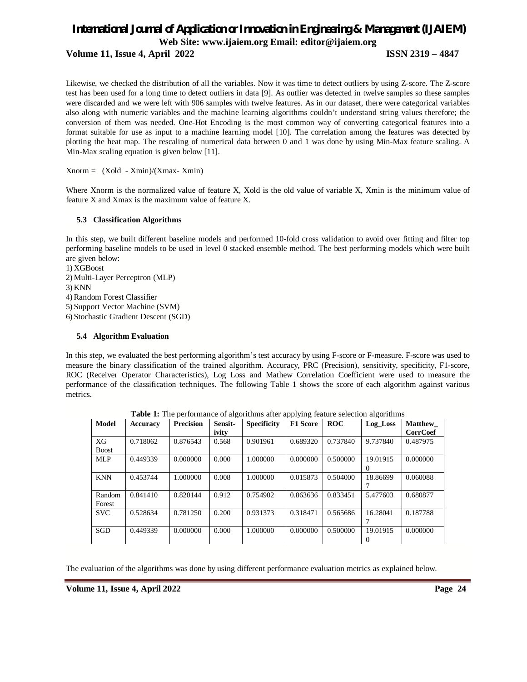**Volume 11, Issue 4, April 2022 ISSN 2319 – 4847**

Likewise, we checked the distribution of all the variables. Now it was time to detect outliers by using Z-score. The Z-score test has been used for a long time to detect outliers in data [9]. As outlier was detected in twelve samples so these samples were discarded and we were left with 906 samples with twelve features. As in our dataset, there were categorical variables also along with numeric variables and the machine learning algorithms couldn't understand string values therefore; the conversion of them was needed. One-Hot Encoding is the most common way of converting categorical features into a format suitable for use as input to a machine learning model [10]. The correlation among the features was detected by plotting the heat map. The rescaling of numerical data between 0 and 1 was done by using Min-Max feature scaling. A Min-Max scaling equation is given below [11].

 $Xnorm = (Xold - Xmin)/(Xmax - Xmin)$ 

Where Xnorm is the normalized value of feature X, Xold is the old value of variable X, Xmin is the minimum value of feature X and Xmax is the maximum value of feature X.

#### **5.3 Classification Algorithms**

In this step, we built different baseline models and performed 10-fold cross validation to avoid over fitting and filter top performing baseline models to be used in level 0 stacked ensemble method. The best performing models which were built are given below:

1) XGBoost 2) Multi-Layer Perceptron (MLP) 3) KNN 4) Random Forest Classifier 5) Support Vector Machine (SVM) 6) Stochastic Gradient Descent (SGD)

#### **5.4 Algorithm Evaluation**

In this step, we evaluated the best performing algorithm's test accuracy by using F-score or F-measure. F-score was used to measure the binary classification of the trained algorithm. Accuracy, PRC (Precision), sensitivity, specificity, F1-score, ROC (Receiver Operator Characteristics), Log Loss and Mathew Correlation Coefficient were used to measure the performance of the classification techniques. The following Table 1 shows the score of each algorithm against various metrics.

| Model        | <b>Accuracy</b> | <b>Precision</b> | Sensit- | <b>Specificity</b> | <u>.</u><br><b>F1 Score</b> | <b>ROC</b> | Log_Loss | <b>Matthew</b> |
|--------------|-----------------|------------------|---------|--------------------|-----------------------------|------------|----------|----------------|
|              |                 |                  | ivity   |                    |                             |            |          | CorrCoef       |
| XG           | 0.718062        | 0.876543         | 0.568   | 0.901961           | 0.689320                    | 0.737840   | 9.737840 | 0.487975       |
| <b>Boost</b> |                 |                  |         |                    |                             |            |          |                |
| MLP          | 0.449339        | 0.000000         | 0.000   | 1.000000           | 0.000000                    | 0.500000   | 19.01915 | 0.000000       |
|              |                 |                  |         |                    |                             |            | $\Omega$ |                |
| <b>KNN</b>   | 0.453744        | 1.000000         | 0.008   | 1.000000           | 0.015873                    | 0.504000   | 18.86699 | 0.060088       |
|              |                 |                  |         |                    |                             |            |          |                |
| Random       | 0.841410        | 0.820144         | 0.912   | 0.754902           | 0.863636                    | 0.833451   | 5.477603 | 0.680877       |
| Forest       |                 |                  |         |                    |                             |            |          |                |
| <b>SVC</b>   | 0.528634        | 0.781250         | 0.200   | 0.931373           | 0.318471                    | 0.565686   | 16.28041 | 0.187788       |
|              |                 |                  |         |                    |                             |            |          |                |
| <b>SGD</b>   | 0.449339        | 0.000000         | 0.000   | 1.000000           | 0.000000                    | 0.500000   | 19.01915 | 0.000000       |
|              |                 |                  |         |                    |                             |            | 0        |                |

**Table 1:** The performance of algorithms after applying feature selection algorithms

The evaluation of the algorithms was done by using different performance evaluation metrics as explained below.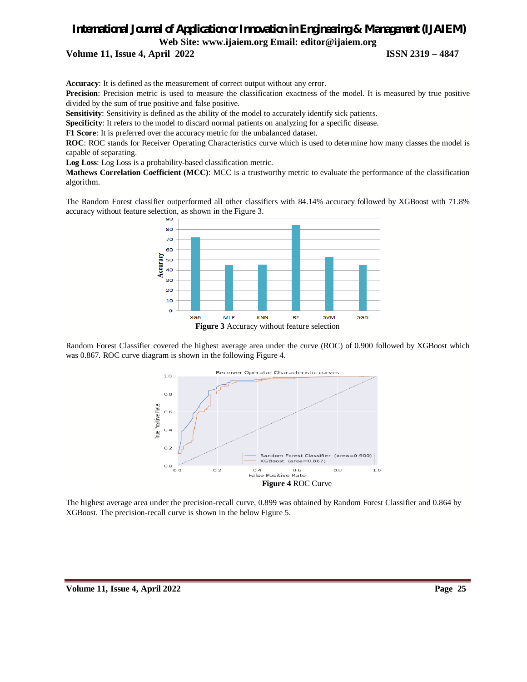**Volume 11, Issue 4, April 2022 ISSN 2319 – 4847**

**Accuracy**: It is defined as the measurement of correct output without any error.

**Precision**: Precision metric is used to measure the classification exactness of the model. It is measured by true positive divided by the sum of true positive and false positive.

**Sensitivity**: Sensitivity is defined as the ability of the model to accurately identify sick patients.

**Specificity**: It refers to the model to discard normal patients on analyzing for a specific disease.

**F1 Score**: It is preferred over the accuracy metric for the unbalanced dataset.

**ROC**: ROC stands for Receiver Operating Characteristics curve which is used to determine how many classes the model is capable of separating.

**Log Loss**: Log Loss is a probability-based classification metric.

**Mathews Correlation Coefficient (MCC)**: MCC is a trustworthy metric to evaluate the performance of the classification algorithm.

The Random Forest classifier outperformed all other classifiers with 84.14% accuracy followed by XGBoost with 71.8% accuracy without feature selection, as shown in the Figure 3.



Random Forest Classifier covered the highest average area under the curve (ROC) of 0.900 followed by XGBoost which was 0.867. ROC curve diagram is shown in the following Figure 4.



The highest average area under the precision-recall curve, 0.899 was obtained by Random Forest Classifier and 0.864 by XGBoost. The precision-recall curve is shown in the below Figure 5.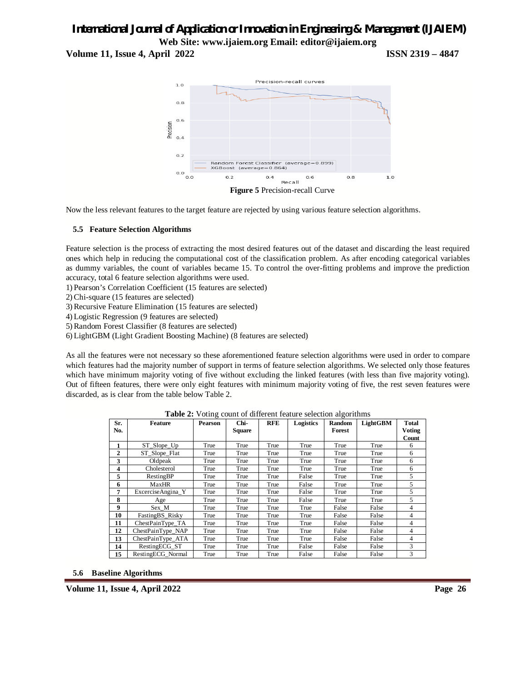**Volume 11, Issue 4, April 2022 ISSN 2319 – 4847**



Now the less relevant features to the target feature are rejected by using various feature selection algorithms.

#### **5.5 Feature Selection Algorithms**

Feature selection is the process of extracting the most desired features out of the dataset and discarding the least required ones which help in reducing the computational cost of the classification problem. As after encoding categorical variables as dummy variables, the count of variables became 15. To control the over-fitting problems and improve the prediction accuracy, total 6 feature selection algorithms were used.

1) Pearson's Correlation Coefficient (15 features are selected)

2) Chi-square (15 features are selected)

3) Recursive Feature Elimination (15 features are selected)

4) Logistic Regression (9 features are selected)

5) Random Forest Classifier (8 features are selected)

6) LightGBM (Light Gradient Boosting Machine) (8 features are selected)

As all the features were not necessary so these aforementioned feature selection algorithms were used in order to compare which features had the majority number of support in terms of feature selection algorithms. We selected only those features which have minimum majority voting of five without excluding the linked features (with less than five majority voting). Out of fifteen features, there were only eight features with minimum majority voting of five, the rest seven features were discarded, as is clear from the table below Table 2.

| Sr.            | <b>Feature</b>    | <b>Pearson</b> | Chi-   | <b>RFE</b> | Logistics | Random | LightGBM | <b>Total</b>  |
|----------------|-------------------|----------------|--------|------------|-----------|--------|----------|---------------|
| No.            |                   |                | Square |            |           | Forest |          | <b>Voting</b> |
|                |                   |                |        |            |           |        |          | Count         |
| 1              | ST_Slope_Up       | True           | True   | True       | True      | True   | True     | 6             |
| $\overline{2}$ | ST Slope Flat     | True           | True   | True       | True      | True   | True     | 6             |
| 3              | Oldpeak           | True           | True   | True       | True      | True   | True     | 6             |
| 4              | Cholesterol       | True           | True   | True       | True      | True   | True     | 6             |
| 5              | RestingBP         | True           | True   | True       | False     | True   | True     | 5             |
| 6              | MaxHR             | True           | True   | True       | False     | True   | True     | 5             |
| 7              | ExcerciseAngina Y | True           | True   | True       | False     | True   | True     | 5             |
| 8              | Age               | True           | True   | True       | False     | True   | True     | 5             |
| 9              | Sex M             | True           | True   | True       | True      | False  | False    | 4             |
| 10             | Fasting BS Risky  | True           | True   | True       | True      | False  | False    | 4             |
| 11             | ChestPainType TA  | True           | True   | True       | True      | False  | False    | 4             |
| 12             | ChestPainType NAP | True           | True   | True       | True      | False  | False    | 4             |
| 13             | ChestPainType ATA | True           | True   | True       | True      | False  | False    | 4             |
| 14             | RestingECG ST     | True           | True   | True       | False     | False  | False    | 3             |
| 15             | RestingECG Normal | True           | True   | True       | False     | False  | False    | 3             |

**Table 2:** Voting count of different feature selection algorithms

**5.6 Baseline Algorithms**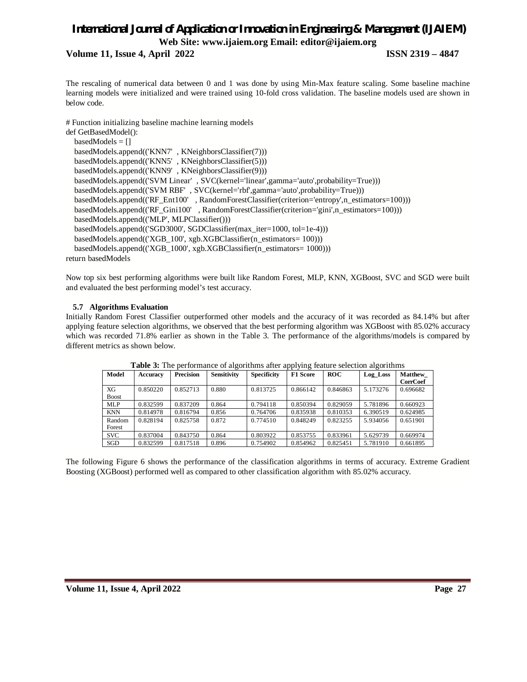#### **Volume 11, Issue 4, April 2022 ISSN 2319 – 4847**

The rescaling of numerical data between 0 and 1 was done by using Min-Max feature scaling. Some baseline machine learning models were initialized and were trained using 10-fold cross validation. The baseline models used are shown in below code.

# Function initializing baseline machine learning models

def GetBasedModel(): basedModels = [] basedModels.append(('KNN7' , KNeighborsClassifier(7))) basedModels.append(('KNN5' , KNeighborsClassifier(5))) basedModels.append(('KNN9' , KNeighborsClassifier(9))) basedModels.append(('SVM Linear' , SVC(kernel='linear',gamma='auto',probability=True))) basedModels.append(('SVM RBF' , SVC(kernel='rbf',gamma='auto',probability=True))) basedModels.append(('RF\_Ent100' , RandomForestClassifier(criterion='entropy',n\_estimators=100))) basedModels.append(('RF\_Gini100' , RandomForestClassifier(criterion='gini',n\_estimators=100))) basedModels.append(('MLP', MLPClassifier())) basedModels.append(('SGD3000', SGDClassifier(max\_iter=1000, tol=1e-4))) basedModels.append(('XGB\_100', xgb.XGBClassifier(n\_estimators= 100))) basedModels.append(('XGB\_1000', xgb.XGBClassifier(n\_estimators= 1000)))

return basedModels

Now top six best performing algorithms were built like Random Forest, MLP, KNN, XGBoost, SVC and SGD were built and evaluated the best performing model's test accuracy.

#### **5.7 Algorithms Evaluation**

Initially Random Forest Classifier outperformed other models and the accuracy of it was recorded as 84.14% but after applying feature selection algorithms, we observed that the best performing algorithm was XGBoost with 85.02% accuracy which was recorded 71.8% earlier as shown in the Table 3. The performance of the algorithms/models is compared by different metrics as shown below.

| Model        | Accuracy | <b>Precision</b> | <b>Sensitivity</b> | <b>Specificity</b> | <b>F1 Score</b> | ROC      | Log Loss | <b>Matthew</b>  |
|--------------|----------|------------------|--------------------|--------------------|-----------------|----------|----------|-----------------|
|              |          |                  |                    |                    |                 |          |          | <b>CorrCoef</b> |
| XG           | 0.850220 | 0.852713         | 0.880              | 0.813725           | 0.866142        | 0.846863 | 5.173276 | 0.696682        |
| <b>Boost</b> |          |                  |                    |                    |                 |          |          |                 |
| <b>MLP</b>   | 0.832599 | 0.837209         | 0.864              | 0.794118           | 0.850394        | 0.829059 | 5.781896 | 0.660923        |
| <b>KNN</b>   | 0.814978 | 0.816794         | 0.856              | 0.764706           | 0.835938        | 0.810353 | 6.390519 | 0.624985        |
| Random       | 0.828194 | 0.825758         | 0.872              | 0.774510           | 0.848249        | 0.823255 | 5.934056 | 0.651901        |
| Forest       |          |                  |                    |                    |                 |          |          |                 |
| <b>SVC</b>   | 0.837004 | 0.843750         | 0.864              | 0.803922           | 0.853755        | 0.833961 | 5.629739 | 0.669974        |
| SGD          | 0.832599 | 0.817518         | 0.896              | 0.754902           | 0.854962        | 0.825451 | 5.781910 | 0.661895        |

**Table 3:** The performance of algorithms after applying feature selection algorithms

The following Figure 6 shows the performance of the classification algorithms in terms of accuracy. Extreme Gradient Boosting (XGBoost) performed well as compared to other classification algorithm with 85.02% accuracy.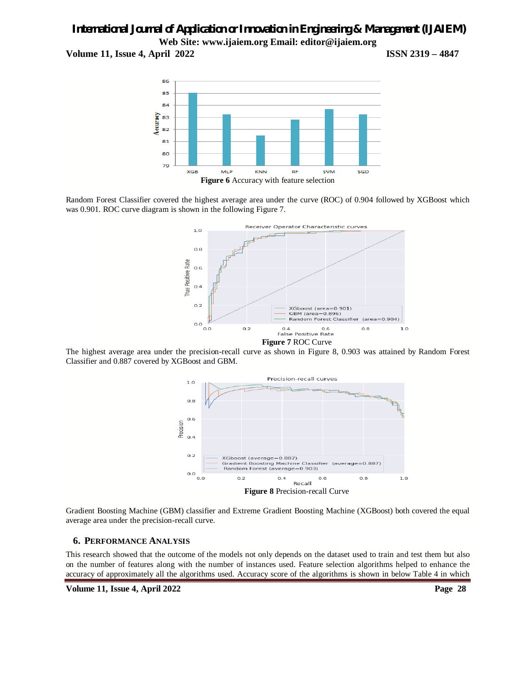**Volume 11, Issue 4, April 2022 ISSN 2319 – 4847**



Random Forest Classifier covered the highest average area under the curve (ROC) of 0.904 followed by XGBoost which was 0.901. ROC curve diagram is shown in the following Figure 7.



The highest average area under the precision-recall curve as shown in Figure 8, 0.903 was attained by Random Forest Classifier and 0.887 covered by XGBoost and GBM.



Gradient Boosting Machine (GBM) classifier and Extreme Gradient Boosting Machine (XGBoost) both covered the equal average area under the precision-recall curve.

#### **6. PERFORMANCE ANALYSIS**

This research showed that the outcome of the models not only depends on the dataset used to train and test them but also on the number of features along with the number of instances used. Feature selection algorithms helped to enhance the accuracy of approximately all the algorithms used. Accuracy score of the algorithms is shown in below Table 4 in which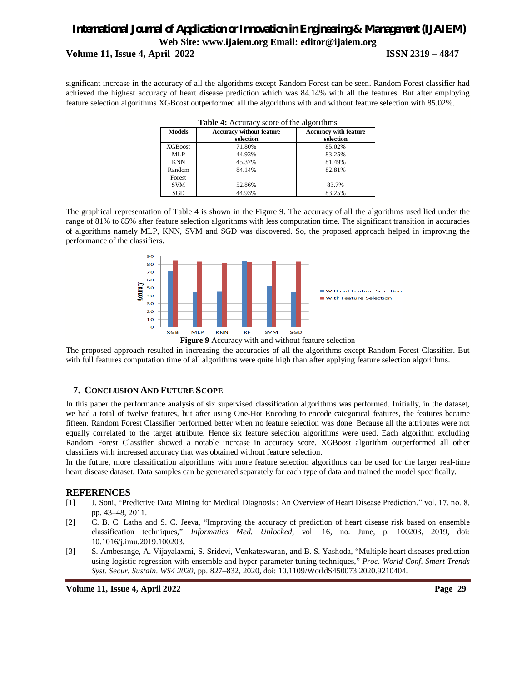### *International Journal of Application or Innovation in Engineering & Management (IJAIEM)* **Web Site: www.ijaiem.org Email: editor@ijaiem.org Volume 11, Issue 4, April 2022 ISSN 2319 – 4847**

significant increase in the accuracy of all the algorithms except Random Forest can be seen. Random Forest classifier had achieved the highest accuracy of heart disease prediction which was 84.14% with all the features. But after employing feature selection algorithms XGBoost outperformed all the algorithms with and without feature selection with 85.02%.

| <b>Table 4:</b> Accuracy score of the algorithms |                                              |                                           |  |  |  |  |
|--------------------------------------------------|----------------------------------------------|-------------------------------------------|--|--|--|--|
| <b>Models</b>                                    | <b>Accuracy without feature</b><br>selection | <b>Accuracy with feature</b><br>selection |  |  |  |  |
| <b>XGBoost</b>                                   | 71.80%                                       | 85.02%                                    |  |  |  |  |
| <b>MLP</b>                                       | 44.93%                                       | 83.25%                                    |  |  |  |  |
| <b>KNN</b>                                       | 45.37%                                       | 81.49%                                    |  |  |  |  |
| Random<br>Forest                                 | 84.14%                                       | 82.81%                                    |  |  |  |  |
| <b>SVM</b>                                       | 52.86%                                       | 83.7%                                     |  |  |  |  |
| SGD                                              | 44.93%                                       | 83.25%                                    |  |  |  |  |

The graphical representation of Table 4 is shown in the Figure 9. The accuracy of all the algorithms used lied under the range of 81% to 85% after feature selection algorithms with less computation time. The significant transition in accuracies of algorithms namely MLP, KNN, SVM and SGD was discovered. So, the proposed approach helped in improving the performance of the classifiers.



**Figure 9** Accuracy with and without feature selection

The proposed approach resulted in increasing the accuracies of all the algorithms except Random Forest Classifier. But with full features computation time of all algorithms were quite high than after applying feature selection algorithms.

#### **7. CONCLUSION AND FUTURE SCOPE**

In this paper the performance analysis of six supervised classification algorithms was performed. Initially, in the dataset, we had a total of twelve features, but after using One-Hot Encoding to encode categorical features, the features became fifteen. Random Forest Classifier performed better when no feature selection was done. Because all the attributes were not equally correlated to the target attribute. Hence six feature selection algorithms were used. Each algorithm excluding Random Forest Classifier showed a notable increase in accuracy score. XGBoost algorithm outperformed all other classifiers with increased accuracy that was obtained without feature selection.

In the future, more classification algorithms with more feature selection algorithms can be used for the larger real-time heart disease dataset. Data samples can be generated separately for each type of data and trained the model specifically.

#### **REFERENCES**

- [1] J. Soni, "Predictive Data Mining for Medical Diagnosis : An Overview of Heart Disease Prediction," vol. 17, no. 8, pp. 43–48, 2011.
- [2] C. B. C. Latha and S. C. Jeeva, "Improving the accuracy of prediction of heart disease risk based on ensemble classification techniques," *Informatics Med. Unlocked*, vol. 16, no. June, p. 100203, 2019, doi: 10.1016/j.imu.2019.100203.
- [3] S. Ambesange, A. Vijayalaxmi, S. Sridevi, Venkateswaran, and B. S. Yashoda, "Multiple heart diseases prediction using logistic regression with ensemble and hyper parameter tuning techniques," *Proc. World Conf. Smart Trends Syst. Secur. Sustain. WS4 2020*, pp. 827–832, 2020, doi: 10.1109/WorldS450073.2020.9210404.